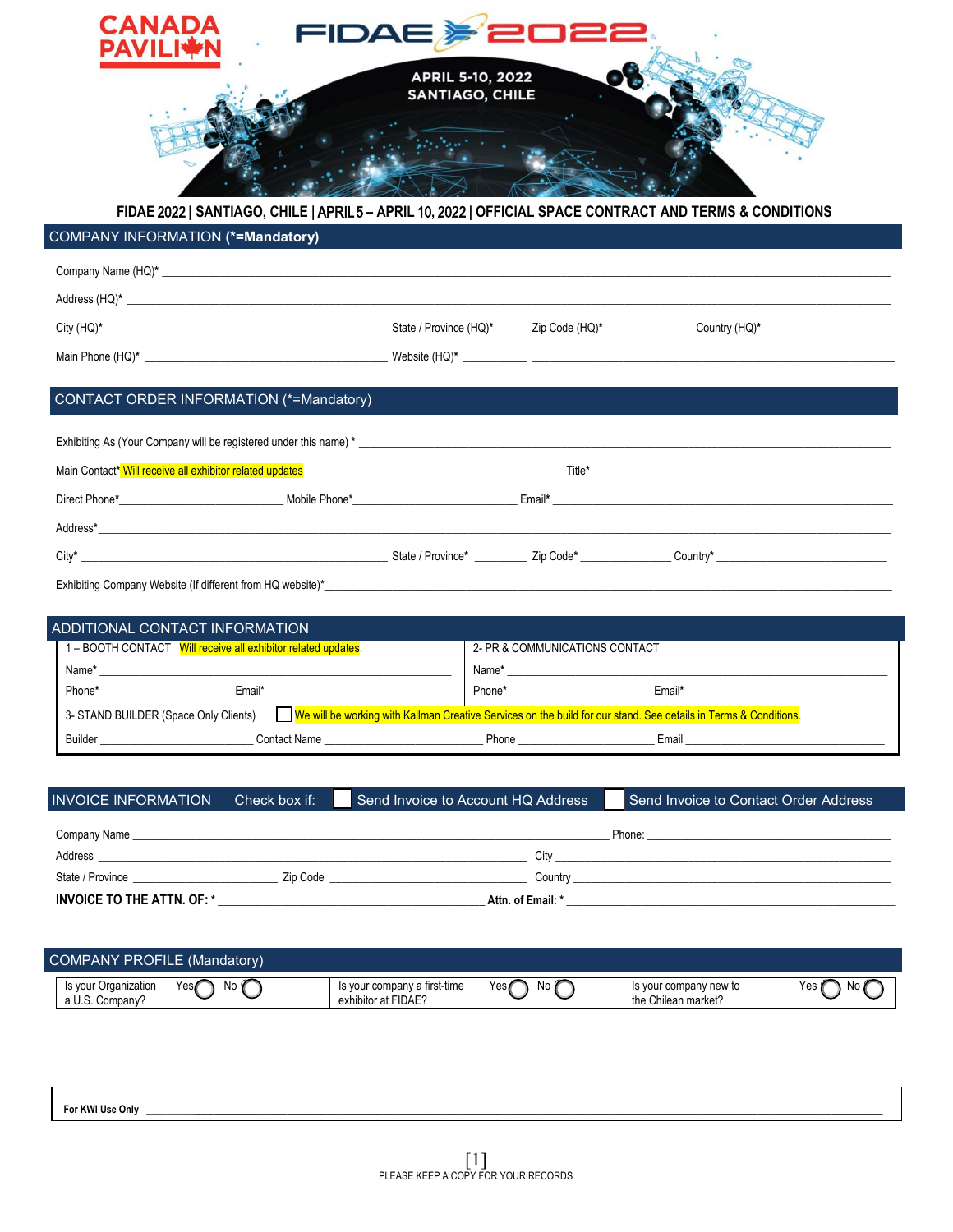

## **FIDAE** 2022 **| SANTIAGO, CHILE |** APRIL5 **– APRIL** 10**,** 2022 **| OFFICIAL SPACE CONTRACT AND TERMS & CONDITIONS**

## COMPANY INFORMATION **(\*=Mandatory)**

| $Address (HQ)^*$                                                                                                                                                                                                                     |  |  |
|--------------------------------------------------------------------------------------------------------------------------------------------------------------------------------------------------------------------------------------|--|--|
|                                                                                                                                                                                                                                      |  |  |
|                                                                                                                                                                                                                                      |  |  |
|                                                                                                                                                                                                                                      |  |  |
| CONTACT ORDER INFORMATION (*=Mandatory)                                                                                                                                                                                              |  |  |
|                                                                                                                                                                                                                                      |  |  |
|                                                                                                                                                                                                                                      |  |  |
| Main Contact* Will receive all exhibitor related updates <b>All and Server Account of the Contact Account of the Contact Account of the Contact Account of the Contact Account of the Contact Account of the Contact Account of </b> |  |  |
|                                                                                                                                                                                                                                      |  |  |

| Address* |                                 |                 |         |
|----------|---------------------------------|-----------------|---------|
|          |                                 |                 |         |
| City*    | State<br>$"$ Jroyn.<br>∵∽rovinu | Code<br>۰ برائے | Country |

Exhibiting Company Website (If different from HQ website)\*\_\_\_\_\_\_\_\_\_\_\_\_\_\_\_\_\_\_\_\_\_\_

| ADDITIONAL CONTACT INFORMATION                                                                                                                                     |                                |
|--------------------------------------------------------------------------------------------------------------------------------------------------------------------|--------------------------------|
| 1 - BOOTH CONTACT Will receive all exhibitor related updates.                                                                                                      | 2- PR & COMMUNICATIONS CONTACT |
| Name*                                                                                                                                                              | Name*                          |
| Phone*<br>Email*                                                                                                                                                   | Phone*<br>Email*               |
| 3- STAND BUILDER (Space Only Clients) <u>JWe will be working with Kallman Creative Services on the build for our stand. See details in Terms &amp; Conditions.</u> |                                |
| Builder<br>Contact Name                                                                                                                                            | Email<br>Phone                 |

| <b>INVOICE INFORMATION</b>        | Check box if: | Send Invoice to Account HQ Address | Send Invoice to Contact Order Address |
|-----------------------------------|---------------|------------------------------------|---------------------------------------|
| Company Name                      |               |                                    | Phone:                                |
| Address                           |               | Citv                               |                                       |
| State / Province                  | Zip Code      | Country                            |                                       |
| <b>INVOICE TO THE ATTN. OF: *</b> |               | Attn. of Email: *                  |                                       |

| <b>COMPANY PROFILE (Mandatory)</b>                                           |                                                     |                   |                                               |            |
|------------------------------------------------------------------------------|-----------------------------------------------------|-------------------|-----------------------------------------------|------------|
| Yes∥<br>No Y<br>∵Organization<br><sub>i</sub> s vour<br>◡<br>a U.S. Company? | Is your company a first-time<br>exhibitor at FIDAE? | Yes∥<br>No I<br>- | Is your company new to<br>the Chilean market? | Yes<br>No. |

**For KWI Use Only** \_\_\_\_\_\_\_\_\_\_\_\_\_\_\_\_\_\_\_\_\_\_\_\_\_\_\_\_\_\_\_\_\_\_\_\_\_\_\_\_\_\_\_\_\_\_\_\_\_\_\_\_\_\_\_\_\_\_\_\_\_\_\_\_\_\_\_\_\_\_\_\_\_\_\_\_\_\_\_\_\_\_\_\_\_\_\_\_\_\_\_\_\_\_\_\_\_\_\_\_\_\_\_\_\_\_\_\_\_\_\_\_\_\_\_\_\_\_\_\_\_\_\_\_\_\_\_\_\_\_\_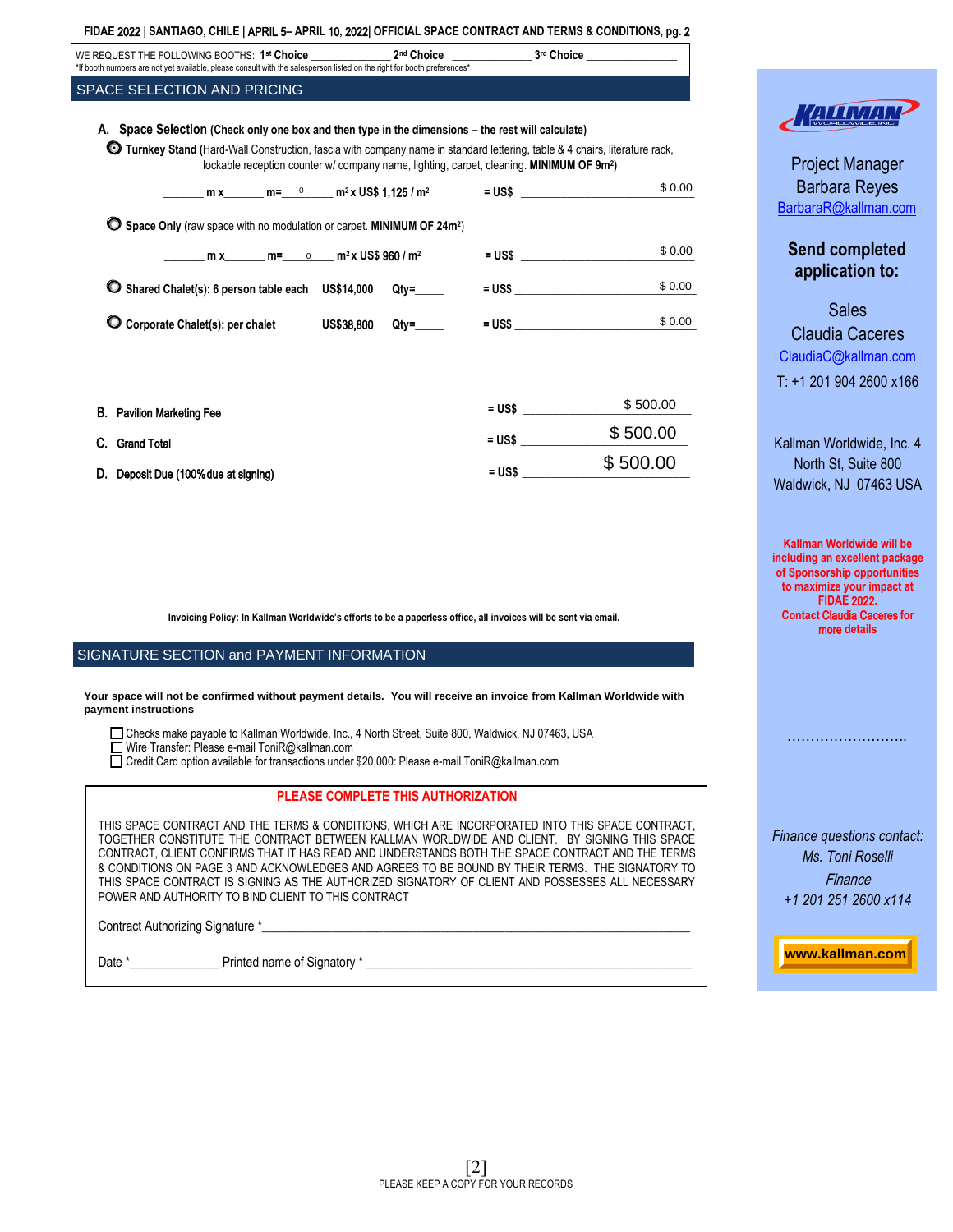| FIDAE 2022   SANTIAGO, CHILE   APRIL 5- APRIL 10, 2022  OFFICIAL SPACE CONTRACT AND TERMS & CONDITIONS, pg. 2                                                                                                                                                                                                                                        |          |          |
|------------------------------------------------------------------------------------------------------------------------------------------------------------------------------------------------------------------------------------------------------------------------------------------------------------------------------------------------------|----------|----------|
| WE REQUEST THE FOLLOWING BOOTHS: $1^{st}$ Choice _______________2 <sup>nd</sup> Choice ______________3 <sup>rd</sup> Choice _______________<br>*If booth numbers are not yet available, please consult with the salesperson listed on the right for booth preferences*                                                                               |          |          |
| SPACE SELECTION AND PRICING                                                                                                                                                                                                                                                                                                                          |          |          |
| A. Space Selection (Check only one box and then type in the dimensions – the rest will calculate)<br><b>ID Turnkey Stand (Hard-Wall Construction, fascia with company name in standard lettering, table &amp; 4 chairs, literature rack,</b><br>lockable reception counter w/ company name, lighting, carpet, cleaning. MINIMUM OF 9m <sup>2</sup> ) |          |          |
|                                                                                                                                                                                                                                                                                                                                                      |          | \$0.00   |
| <b>O</b> Space Only (raw space with no modulation or carpet. MINIMUM OF 24m <sup>2</sup> )<br>$m x$ m = 0 m <sup>2</sup> x US\$ 960 / m <sup>2</sup>                                                                                                                                                                                                 |          | \$0.00   |
| C Shared Chalet(s): 6 person table each US\$14,000 Qty=                                                                                                                                                                                                                                                                                              | $=$ US\$ | \$0.00   |
| C Corporate Chalet(s): per chalet US\$38,800 Qty=_____ = US\$ ____________________                                                                                                                                                                                                                                                                   |          | \$0.00   |
| <b>B.</b> Pavilion Marketing Fee                                                                                                                                                                                                                                                                                                                     | $= US$$  | \$500.00 |
| C. Grand Total                                                                                                                                                                                                                                                                                                                                       | $=$ US\$ | \$500.00 |
| D. Deposit Due (100% due at signing)                                                                                                                                                                                                                                                                                                                 | $= US$$  | \$500.00 |
|                                                                                                                                                                                                                                                                                                                                                      |          |          |

**Invoicing Policy: In Kallman Worldwide's efforts to be a paperless office, all invoices will be sent via email.**

## SIGNATURE SECTION and PAYMENT INFORMATION

**Your space will not be confirmed without payment details. You will receive an invoice from Kallman Worldwide with payment instructions** 

Checks make payable to Kallman Worldwide, Inc., 4 North Street, Suite 800, Waldwick, NJ 07463, USA Wire Transfer: Please e-mail ToniR@kallman.com

Credit Card option available for transactions under \$20,000: Please e-mail ToniR@kallman.com

| PLEASE COMPLETE THIS AUTHORIZATION                                                                                                                                                                                                                                                                                                                                                                                                                                                                                                                                 |
|--------------------------------------------------------------------------------------------------------------------------------------------------------------------------------------------------------------------------------------------------------------------------------------------------------------------------------------------------------------------------------------------------------------------------------------------------------------------------------------------------------------------------------------------------------------------|
| THIS SPACE CONTRACT AND THE TERMS & CONDITIONS. WHICH ARE INCORPORATED INTO THIS SPACE CONTRACT.<br>TOGETHER CONSTITUTE THE CONTRACT BETWEEN KALLMAN WORLDWIDE AND CLIENT. BY SIGNING THIS SPACE<br>CONTRACT, CLIENT CONFIRMS THAT IT HAS READ AND UNDERSTANDS BOTH THE SPACE CONTRACT AND THE TERMS<br>& CONDITIONS ON PAGE 3 AND ACKNOWLEDGES AND AGREES TO BE BOUND BY THEIR TERMS. THE SIGNATORY TO<br>THIS SPACE CONTRACT IS SIGNING AS THE AUTHORIZED SIGNATORY OF CLIENT AND POSSESSES ALL NECESSARY<br>POWER AND AUTHORITY TO BIND CLIENT TO THIS CONTRACT |
| Contract Authorizing Signature *                                                                                                                                                                                                                                                                                                                                                                                                                                                                                                                                   |

Date \*\_\_\_\_\_\_\_\_\_\_\_\_\_\_ Printed name of Signatory \* \_\_\_\_\_\_\_\_\_\_\_\_\_\_\_\_\_\_\_\_\_\_\_\_\_\_\_\_\_\_\_\_\_\_\_\_\_\_\_\_\_\_\_\_\_\_\_\_\_\_\_



Project Manager Barbara Reyes BarbaraR[@kallman.com](mailto:barbarar@kallman.com)

## **Send completed application to:**

**Sales** Claudia Caceres [ClaudiaC@kallman.com](mailto:claudiac@kallman.com) T: +1 201 904 2600 x166

Kallman Worldwide, Inc. 4 North St, Suite 800 Waldwick, NJ 07463 USA

**Kallman Worldwide will be including an excellent package of Sponsorship opportunities to maximize your impact at FIDAE** 2022**. Contact** Claudia Caceres **for** more **details** 

*Finance questions contact: Ms. Toni Roselli*  **Finance** *+1 201 251 2600 x114*

…………………………

**www.kallman.com www.kallman.com**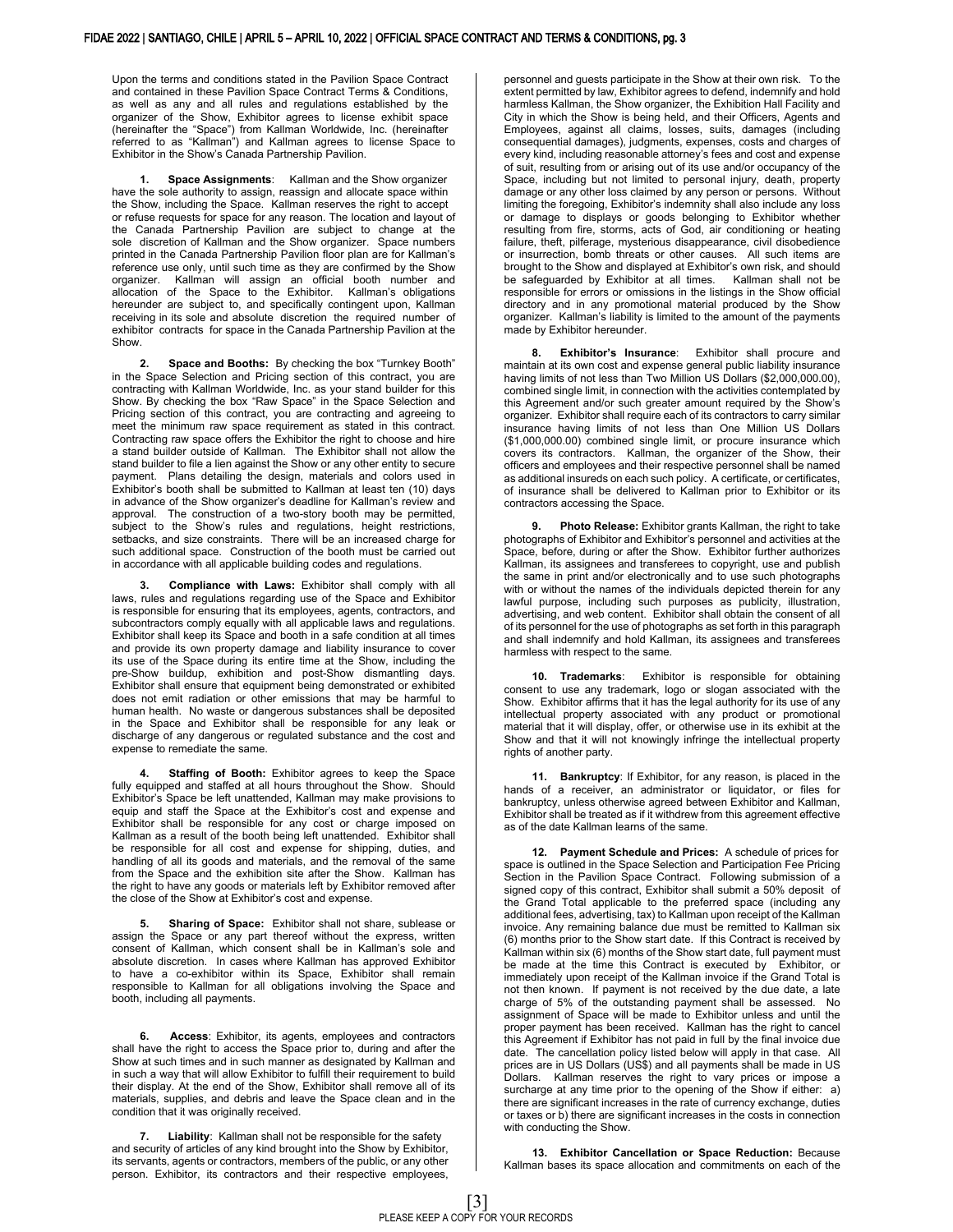Upon the terms and conditions stated in the Pavilion Space Contract and contained in these Pavilion Space Contract Terms & Conditions, as well as any and all rules and regulations established by the organizer of the Show, Exhibitor agrees to license exhibit space (hereinafter the "Space") from Kallman Worldwide, Inc. (hereinafter referred to as "Kallman") and Kallman agrees to license Space to Exhibitor in the Show's Canada Partnership Pavilion.

**1. Space Assignments**: Kallman and the Show organizer have the sole authority to assign, reassign and allocate space within the Show, including the Space. Kallman reserves the right to accept or refuse requests for space for any reason. The location and layout of the Canada Partnership Pavilion are subject to change at the sole discretion of Kallman and the Show organizer. Space numbers printed in the Canada Partnership Pavilion floor plan are for Kallman's reference use only, until such time as they are confirmed by the Show organizer. Kallman will assign an official booth number and allocation of the Space to the Exhibitor. Kallman's obligations hereunder are subject to, and specifically contingent upon, Kallman receiving in its sole and absolute discretion the required number of exhibitor contracts for space in the Canada Partnership Pavilion at the **Show** 

**2. Space and Booths:** By checking the box "Turnkey Booth" in the Space Selection and Pricing section of this contract, you are contracting with Kallman Worldwide, Inc. as your stand builder for this Show. By checking the box "Raw Space" in the Space Selection and Pricing section of this contract, you are contracting and agreeing to meet the minimum raw space requirement as stated in this contract. Contracting raw space offers the Exhibitor the right to choose and hire a stand builder outside of Kallman. The Exhibitor shall not allow the stand builder to file a lien against the Show or any other entity to secure payment. Plans detailing the design, materials and colors used in Exhibitor's booth shall be submitted to Kallman at least ten (10) days in advance of the Show organizer's deadline for Kallman's review and approval. The construction of a two-story booth may be permitted, subject to the Show's rules and regulations, height restrictions, setbacks, and size constraints. There will be an increased charge for such additional space. Construction of the booth must be carried out in accordance with all applicable building codes and regulations.

**3. Compliance with Laws:** Exhibitor shall comply with all laws, rules and regulations regarding use of the Space and Exhibitor is responsible for ensuring that its employees, agents, contractors, and subcontractors comply equally with all applicable laws and regulations. Exhibitor shall keep its Space and booth in a safe condition at all times and provide its own property damage and liability insurance to cover its use of the Space during its entire time at the Show, including the pre-Show buildup, exhibition and post-Show dismantling days. Exhibitor shall ensure that equipment being demonstrated or exhibited does not emit radiation or other emissions that may be harmful to human health. No waste or dangerous substances shall be deposited in the Space and Exhibitor shall be responsible for any leak or discharge of any dangerous or regulated substance and the cost and expense to remediate the same.

**4. Staffing of Booth:** Exhibitor agrees to keep the Space fully equipped and staffed at all hours throughout the Show. Should Exhibitor's Space be left unattended, Kallman may make provisions to equip and staff the Space at the Exhibitor's cost and expense and Exhibitor shall be responsible for any cost or charge imposed on Kallman as a result of the booth being left unattended. Exhibitor shall be responsible for all cost and expense for shipping, duties, and handling of all its goods and materials, and the removal of the same from the Space and the exhibition site after the Show. Kallman has the right to have any goods or materials left by Exhibitor removed after the close of the Show at Exhibitor's cost and expense.

**5. Sharing of Space:** Exhibitor shall not share, sublease or assign the Space or any part thereof without the express, written consent of Kallman, which consent shall be in Kallman's sole and absolute discretion. In cases where Kallman has approved Exhibitor to have a co-exhibitor within its Space, Exhibitor shall remain responsible to Kallman for all obligations involving the Space and booth, including all payments.

**6. Access**: Exhibitor, its agents, employees and contractors shall have the right to access the Space prior to, during and after the Show at such times and in such manner as designated by Kallman and in such a way that will allow Exhibitor to fulfill their requirement to build their display. At the end of the Show, Exhibitor shall remove all of its materials, supplies, and debris and leave the Space clean and in the condition that it was originally received.

**7. Liability**: Kallman shall not be responsible for the safety and security of articles of any kind brought into the Show by Exhibitor, its servants, agents or contractors, members of the public, or any other person. Exhibitor, its contractors and their respective employees,

personnel and guests participate in the Show at their own risk.To the extent permitted by law, Exhibitor agrees to defend, indemnify and hold harmless Kallman, the Show organizer, the Exhibition Hall Facility and City in which the Show is being held, and their Officers, Agents and Employees, against all claims, losses, suits, damages (including consequential damages), judgments, expenses, costs and charges of every kind, including reasonable attorney's fees and cost and expense of suit, resulting from or arising out of its use and/or occupancy of the Space, including but not limited to personal injury, death, property damage or any other loss claimed by any person or persons. Without limiting the foregoing, Exhibitor's indemnity shall also include any loss or damage to displays or goods belonging to Exhibitor whether resulting from fire, storms, acts of God, air conditioning or heating failure, theft, pilferage, mysterious disappearance, civil disobedience or insurrection, bomb threats or other causes. All such items are brought to the Show and displayed at Exhibitor's own risk, and should be safeguarded by Exhibitor at all times. Kallman shall not be responsible for errors or omissions in the listings in the Show official directory and in any promotional material produced by the Show organizer. Kallman's liability is limited to the amount of the payments made by Exhibitor hereunder.

**8. Exhibitor's Insurance**: Exhibitor shall procure and maintain at its own cost and expense general public liability insurance having limits of not less than Two Million US Dollars (\$2,000,000.00), combined single limit, in connection with the activities contemplated by this Agreement and/or such greater amount required by the Show's organizer. Exhibitor shall require each of its contractors to carry similar insurance having limits of not less than One Million US Dollars (\$1,000,000.00) combined single limit, or procure insurance which covers its contractors. Kallman, the organizer of the Show, their officers and employees and their respective personnel shall be named as additional insureds on each such policy. A certificate, or certificates, of insurance shall be delivered to Kallman prior to Exhibitor or its contractors accessing the Space.

**9. Photo Release:** Exhibitor grants Kallman, the right to take photographs of Exhibitor and Exhibitor's personnel and activities at the Space, before, during or after the Show. Exhibitor further authorizes Kallman, its assignees and transferees to copyright, use and publish the same in print and/or electronically and to use such photographs with or without the names of the individuals depicted therein for any lawful purpose, including such purposes as publicity, illustration, advertising, and web content. Exhibitor shall obtain the consent of all of its personnel for the use of photographs as set forth in this paragraph and shall indemnify and hold Kallman, its assignees and transferees harmless with respect to the same.

**10. Trademarks**: Exhibitor is responsible for obtaining consent to use any trademark, logo or slogan associated with the Show. Exhibitor affirms that it has the legal authority for its use of any intellectual property associated with any product or promotional material that it will display, offer, or otherwise use in its exhibit at the Show and that it will not knowingly infringe the intellectual property rights of another party.

**11. Bankruptcy**: If Exhibitor, for any reason, is placed in the hands of a receiver, an administrator or liquidator, or files for bankruptcy, unless otherwise agreed between Exhibitor and Kallman, Exhibitor shall be treated as if it withdrew from this agreement effective as of the date Kallman learns of the same.

**12. Payment Schedule and Prices:** A schedule of prices for space is outlined in the Space Selection and Participation Fee Pricing Section in the Pavilion Space Contract. Following submission of a signed copy of this contract, Exhibitor shall submit a 50% deposit of the Grand Total applicable to the preferred space (including any additional fees, advertising, tax) to Kallman upon receipt of the Kallman invoice. Any remaining balance due must be remitted to Kallman six (6) months prior to the Show start date. If this Contract is received by Kallman within six (6) months of the Show start date, full payment must be made at the time this Contract is executed by Exhibitor, or immediately upon receipt of the Kallman invoice if the Grand Total is not then known. If payment is not received by the due date, a late charge of 5% of the outstanding payment shall be assessed. No assignment of Space will be made to Exhibitor unless and until the proper payment has been received. Kallman has the right to cancel this Agreement if Exhibitor has not paid in full by the final invoice due date. The cancellation policy listed below will apply in that case. All prices are in US Dollars (US\$) and all payments shall be made in US<br>Dollars Kallman reserves the right to vary prices or impose a Kallman reserves the right to vary prices or impose a surcharge at any time prior to the opening of the Show if either: a) there are significant increases in the rate of currency exchange, duties or taxes or b) there are significant increases in the costs in connection with conducting the Show.

**13. Exhibitor Cancellation or Space Reduction:** Because Kallman bases its space allocation and commitments on each of the